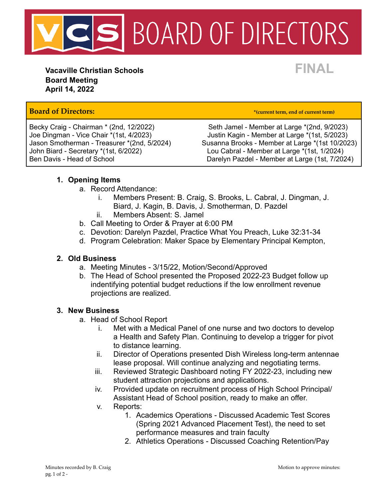

**Vacaville Christian Schools FINAL Board Meeting April 14, 2022**

# **Board of Directors: \*(current term, end of current term)**

John Biard - Secretary \*(1st, 6/2022) Lou Cabral - Member at Large \*(1st, 1/2024)

Becky Craig - Chairman \* (2nd, 12/2022) Seth Jamel - Member at Large \* (2nd, 9/2023) Joe Dingman - Vice Chair \*(1st, 4/2023) Justin Kagin - Member at Large \*(1st, 5/2023) Susanna Brooks - Member at Large \*(1st 10/2023) Ben Davis - Head of School **Darelyn Pazdel - Member at Large (1st, 7/2024)** 

# **1. Opening Items**

- a. Record Attendance:
	- i. Members Present: B. Craig, S. Brooks, L. Cabral, J. Dingman, J. Biard, J. Kagin, B. Davis, J. Smotherman, D. Pazdel
	- ii. Members Absent: S. Jamel
- b. Call Meeting to Order & Prayer at 6:00 PM
- c. Devotion: Darelyn Pazdel, Practice What You Preach, Luke 32:31-34
- d. Program Celebration: Maker Space by Elementary Principal Kempton,

### **2. Old Business**

- a. Meeting Minutes 3/15/22, Motion/Second/Approved
- b. The Head of School presented the Proposed 2022-23 Budget follow up indentifying potential budget reductions if the low enrollment revenue projections are realized.

### **3. New Business**

- a. Head of School Report
	- i. Met with a Medical Panel of one nurse and two doctors to develop a Health and Safety Plan. Continuing to develop a trigger for pivot to distance learning.
	- ii. Director of Operations presented Dish Wireless long-term antennae lease proposal. Will continue analyzing and negotiating terms.
	- iii. Reviewed Strategic Dashboard noting FY 2022-23, including new student attraction projections and applications.
	- iv. Provided update on recruitment process of High School Principal/ Assistant Head of School position, ready to make an offer.
	- v. Reports:
		- 1. Academics Operations Discussed Academic Test Scores (Spring 2021 Advanced Placement Test), the need to set performance measures and train faculty
		- 2. Athletics Operations Discussed Coaching Retention/Pay